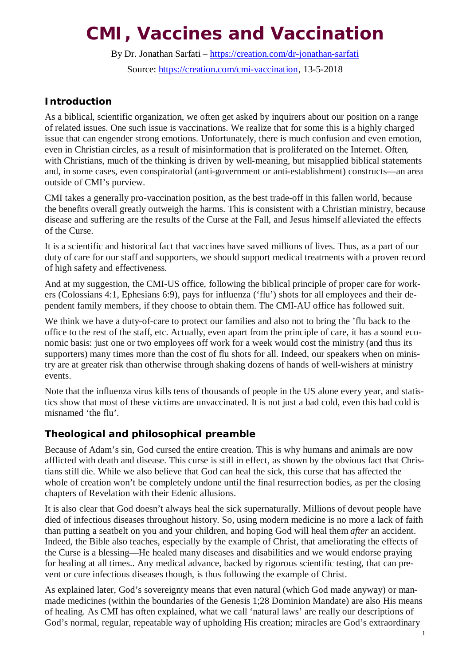# **CMI, Vaccines and Vaccination**

By Dr. Jonathan Sarfati – https://creation.com/dr-jonathan-sarfati Source: https://creation.com/cmi-vaccination, 13-5-2018

# **Introduction**

As a biblical, scientific organization, we often get asked by inquirers about our position on a range of related issues. One such issue is vaccinations. We realize that for some this is a highly charged issue that can engender strong emotions. Unfortunately, there is much confusion and even emotion, even in Christian circles, as a result of misinformation that is proliferated on the Internet. Often, with Christians, much of the thinking is driven by well-meaning, but misapplied biblical statements and, in some cases, even conspiratorial (anti-government or anti-establishment) constructs—an area outside of CMI's purview.

CMI takes a generally pro-vaccination position, as the best trade-off in this fallen world, because the benefits overall greatly outweigh the harms. This is consistent with a Christian ministry, because disease and suffering are the results of the Curse at the Fall, and Jesus himself alleviated the effects of the Curse.

It is a scientific and historical fact that vaccines have saved millions of lives. Thus, as a part of our duty of care for our staff and supporters, we should support medical treatments with a proven record of high safety and effectiveness.

And at my suggestion, the CMI-US office, following the biblical principle of proper care for workers (Colossians 4:1, Ephesians 6:9), pays for influenza ('flu') shots for all employees and their dependent family members, if they choose to obtain them. The CMI-AU office has followed suit.

We think we have a duty-of-care to protect our families and also not to bring the 'flu back to the office to the rest of the staff, etc. Actually, even apart from the principle of care, it has a sound economic basis: just one or two employees off work for a week would cost the ministry (and thus its supporters) many times more than the cost of flu shots for all. Indeed, our speakers when on ministry are at greater risk than otherwise through shaking dozens of hands of well-wishers at ministry events.

Note that the influenza virus kills tens of thousands of people in the US alone every year, and statistics show that most of these victims are unvaccinated. It is not just a bad cold, even this bad cold is misnamed 'the flu'.

# **Theological and philosophical preamble**

Because of Adam's sin, God cursed the entire creation. This is why humans and animals are now afflicted with death and disease. This curse is still in effect, as shown by the obvious fact that Christians still die. While we also believe that God can heal the sick, this curse that has affected the whole of creation won't be completely undone until the final resurrection bodies, as per the closing chapters of Revelation with their Edenic allusions.

It is also clear that God doesn't always heal the sick supernaturally. Millions of devout people have died of infectious diseases throughout history. So, using modern medicine is no more a lack of faith than putting a seatbelt on you and your children, and hoping God will heal them *after* an accident. Indeed, the Bible also teaches, especially by the example of Christ, that ameliorating the effects of the Curse is a blessing—He healed many diseases and disabilities and we would endorse praying for healing at all times.. Any medical advance, backed by rigorous scientific testing, that can prevent or cure infectious diseases though, is thus following the example of Christ.

As explained later, God's sovereignty means that even natural (which God made anyway) or manmade medicines (within the boundaries of the Genesis 1;28 Dominion Mandate) are also His means of healing. As CMI has often explained, what we call 'natural laws' are really our descriptions of God's normal, regular, repeatable way of upholding His creation; miracles are God's extraordinary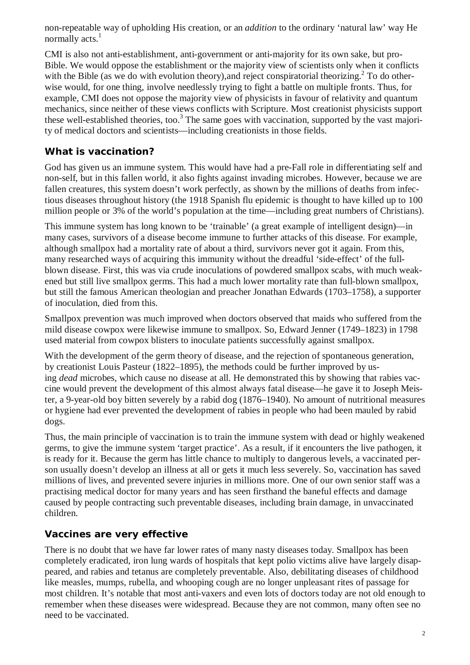non-repeatable way of upholding His creation, or an *addition* to the ordinary 'natural law' way He normally  $\arctan^1$ 

CMI is also not anti-establishment, anti-government or anti-majority for its own sake, but pro-Bible. We would oppose the establishment or the majority view of scientists only when it conflicts with the Bible (as we do with evolution theory), and reject conspiratorial theorizing.<sup>2</sup> To do otherwise would, for one thing, involve needlessly trying to fight a battle on multiple fronts. Thus, for example, CMI does not oppose the majority view of physicists in favour of relativity and quantum mechanics, since neither of these views conflicts with Scripture. Most creationist physicists support these well-established theories, too.<sup>3</sup> The same goes with vaccination, supported by the vast majority of medical doctors and scientists—including creationists in those fields.

# **What is vaccination?**

God has given us an immune system. This would have had a pre-Fall role in differentiating self and non-self, but in this fallen world, it also fights against invading microbes. However, because we are fallen creatures, this system doesn't work perfectly, as shown by the millions of deaths from infectious diseases throughout history (the 1918 Spanish flu epidemic is thought to have killed up to 100 million people or 3% of the world's population at the time—including great numbers of Christians).

This immune system has long known to be 'trainable' (a great example of intelligent design)—in many cases, survivors of a disease become immune to further attacks of this disease. For example, although smallpox had a mortality rate of about a third, survivors never got it again. From this, many researched ways of acquiring this immunity without the dreadful 'side-effect' of the fullblown disease. First, this was via crude inoculations of powdered smallpox scabs, with much weakened but still live smallpox germs. This had a much lower mortality rate than full-blown smallpox, but still the famous American theologian and preacher Jonathan Edwards (1703–1758), a supporter of inoculation, died from this.

Smallpox prevention was much improved when doctors observed that maids who suffered from the mild disease cowpox were likewise immune to smallpox. So, Edward Jenner (1749–1823) in 1798 used material from cowpox blisters to inoculate patients successfully against smallpox.

With the development of the germ theory of disease, and the rejection of spontaneous generation, by creationist Louis Pasteur (1822–1895), the methods could be further improved by using *dead* microbes, which cause no disease at all. He demonstrated this by showing that rabies vaccine would prevent the development of this almost always fatal disease—he gave it to Joseph Meister, a 9-year-old boy bitten severely by a rabid dog (1876–1940). No amount of nutritional measures or hygiene had ever prevented the development of rabies in people who had been mauled by rabid dogs.

Thus, the main principle of vaccination is to train the immune system with dead or highly weakened germs, to give the immune system 'target practice'. As a result, if it encounters the live pathogen, it is ready for it. Because the germ has little chance to multiply to dangerous levels, a vaccinated person usually doesn't develop an illness at all or gets it much less severely. So, vaccination has saved millions of lives, and prevented severe injuries in millions more. One of our own senior staff was a practising medical doctor for many years and has seen firsthand the baneful effects and damage caused by people contracting such preventable diseases, including brain damage, in unvaccinated children.

# **Vaccines are very effective**

There is no doubt that we have far lower rates of many nasty diseases today. Smallpox has been completely eradicated, iron lung wards of hospitals that kept polio victims alive have largely disappeared, and rabies and tetanus are completely preventable. Also, debilitating diseases of childhood like measles, mumps, rubella, and whooping cough are no longer unpleasant rites of passage for most children. It's notable that most anti-vaxers and even lots of doctors today are not old enough to remember when these diseases were widespread. Because they are not common, many often see no need to be vaccinated.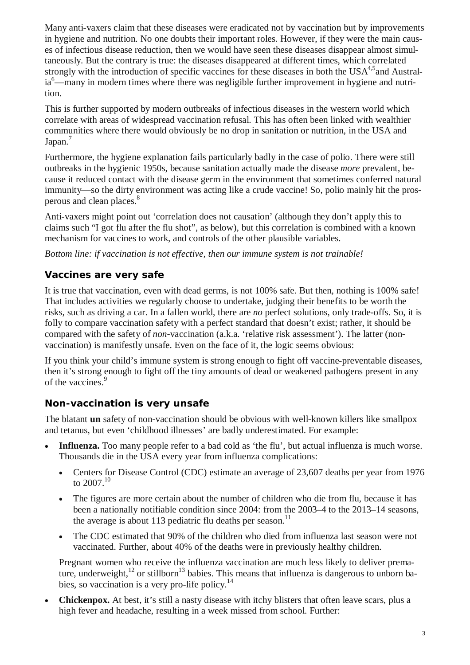Many anti-vaxers claim that these diseases were eradicated not by vaccination but by improvements in hygiene and nutrition. No one doubts their important roles. However, if they were the main causes of infectious disease reduction, then we would have seen these diseases disappear almost simultaneously. But the contrary is true: the diseases disappeared at different times, which correlated strongly with the introduction of specific vaccines for these diseases in both the  $USA<sup>4,5</sup>$  and Australia<sup>6</sup>—many in modern times where there was negligible further improvement in hygiene and nutrition.

This is further supported by modern outbreaks of infectious diseases in the western world which correlate with areas of widespread vaccination refusal. This has often been linked with wealthier communities where there would obviously be no drop in sanitation or nutrition, in the USA and Japan.<sup>7</sup>

Furthermore, the hygiene explanation fails particularly badly in the case of polio. There were still outbreaks in the hygienic 1950s, because sanitation actually made the disease *more* prevalent, because it reduced contact with the disease germ in the environment that sometimes conferred natural immunity—so the dirty environment was acting like a crude vaccine! So, polio mainly hit the prosperous and clean places.<sup>8</sup>

Anti-vaxers might point out 'correlation does not causation' (although they don't apply this to claims such "I got flu after the flu shot", as below), but this correlation is combined with a known mechanism for vaccines to work, and controls of the other plausible variables.

*Bottom line: if vaccination is not effective, then our immune system is not trainable!*

# **Vaccines are very safe**

It is true that vaccination, even with dead germs, is not 100% safe. But then, nothing is 100% safe! That includes activities we regularly choose to undertake, judging their benefits to be worth the risks, such as driving a car. In a fallen world, there are *no* perfect solutions, only trade-offs. So, it is folly to compare vaccination safety with a perfect standard that doesn't exist; rather, it should be compared with the safety of *non*-vaccination (a.k.a. 'relative risk assessment'). The latter (nonvaccination) is manifestly unsafe. Even on the face of it, the logic seems obvious:

If you think your child's immune system is strong enough to fight off vaccine-preventable diseases, then it's strong enough to fight off the tiny amounts of dead or weakened pathogens present in any of the vaccines.<sup>9</sup>

# **Non-vaccination is very unsafe**

The blatant **un** safety of non-vaccination should be obvious with well-known killers like smallpox and tetanus, but even 'childhood illnesses' are badly underestimated. For example:

- **Influenza.** Too many people refer to a bad cold as 'the flu', but actual influenza is much worse. Thousands die in the USA every year from influenza complications:
	- Centers for Disease Control (CDC) estimate an average of 23,607 deaths per year from 1976 to 2007.<sup>10</sup>
	- The figures are more certain about the number of children who die from flu, because it has been a nationally notifiable condition since 2004: from the 2003–4 to the 2013–14 seasons, the average is about 113 pediatric flu deaths per season.<sup>11</sup>
	- The CDC estimated that 90% of the children who died from influenza last season were not vaccinated. Further, about 40% of the deaths were in previously healthy children.

Pregnant women who receive the influenza vaccination are much less likely to deliver premature, underweight, $^{12}$  or stillborn<sup>13</sup> babies. This means that influenza is dangerous to unborn babies, so vaccination is a very pro-life policy. $^{14}$ 

 **Chickenpox.** At best, it's still a nasty disease with itchy blisters that often leave scars, plus a high fever and headache, resulting in a week missed from school. Further: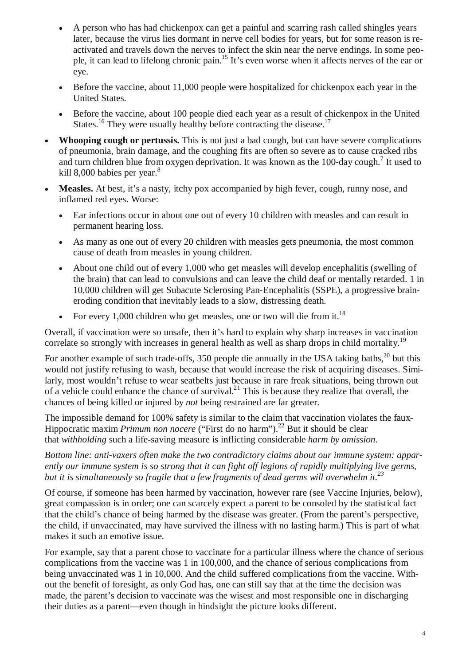- A person who has had chickenpox can get a painful and scarring rash called shingles years later, because the virus lies dormant in nerve cell bodies for years, but for some reason is reactivated and travels down the nerves to infect the skin near the nerve endings. In some people, it can lead to lifelong chronic pain.<sup>15</sup> It's even worse when it affects nerves of the ear or eye.
- Before the vaccine, about 11,000 people were hospitalized for chickenpox each year in the United States.
- Before the vaccine, about 100 people died each year as a result of chickenpox in the United States.<sup>16</sup> They were usually healthy before contracting the disease.<sup>17</sup>
- **Whooping cough or pertussis.** This is not just a bad cough, but can have severe complications of pneumonia, brain damage, and the coughing fits are often so severe as to cause cracked ribs and turn children blue from oxygen deprivation. It was known as the 100-day cough.<sup>7</sup> It used to kill 8,000 babies per year. $8$
- **Measles.** At best, it's a nasty, itchy pox accompanied by high fever, cough, runny nose, and inflamed red eyes. Worse:
	- Ear infections occur in about one out of every 10 children with measles and can result in permanent hearing loss.
	- As many as one out of every 20 children with measles gets pneumonia, the most common cause of death from measles in young children.
	- About one child out of every 1,000 who get measles will develop encephalitis (swelling of the brain) that can lead to convulsions and can leave the child deaf or mentally retarded. 1 in 10,000 children will get Subacute Sclerosing Pan-Encephalitis (SSPE), a progressive braineroding condition that inevitably leads to a slow, distressing death.
	- For every 1,000 children who get measles, one or two will die from it.<sup>18</sup>

Overall, if vaccination were so unsafe, then it's hard to explain why sharp increases in vaccination correlate so strongly with increases in general health as well as sharp drops in child mortality.<sup>19</sup>

For another example of such trade-offs, 350 people die annually in the USA taking baths,<sup>20</sup> but this would not justify refusing to wash, because that would increase the risk of acquiring diseases. Similarly, most wouldn't refuse to wear seatbelts just because in rare freak situations, being thrown out of a vehicle could enhance the chance of survival.<sup>21</sup> This is because they realize that overall, the chances of being killed or injured by *not* being restrained are far greater.

The impossible demand for 100% safety is similar to the claim that vaccination violates the faux-Hippocratic maxim *Primum non nocere* ("First do no harm").<sup>22</sup> But it should be clear that *withholding* such a life-saving measure is inflicting considerable *harm by omission*.

*Bottom line: anti-vaxers often make the two contradictory claims about our immune system: apparently our immune system is so strong that it can fight off legions of rapidly multiplying live germs, but it is simultaneously so fragile that a few fragments of dead germs will overwhelm it.<sup>23</sup>*

Of course, if someone has been harmed by vaccination, however rare (see Vaccine Injuries, below), great compassion is in order; one can scarcely expect a parent to be consoled by the statistical fact that the child's chance of being harmed by the disease was greater. (From the parent's perspective, the child, if unvaccinated, may have survived the illness with no lasting harm.) This is part of what makes it such an emotive issue.

For example, say that a parent chose to vaccinate for a particular illness where the chance of serious complications from the vaccine was 1 in 100,000, and the chance of serious complications from being unvaccinated was 1 in 10,000. And the child suffered complications from the vaccine. Without the benefit of foresight, as only God has, one can still say that at the time the decision was made, the parent's decision to vaccinate was the wisest and most responsible one in discharging their duties as a parent—even though in hindsight the picture looks different.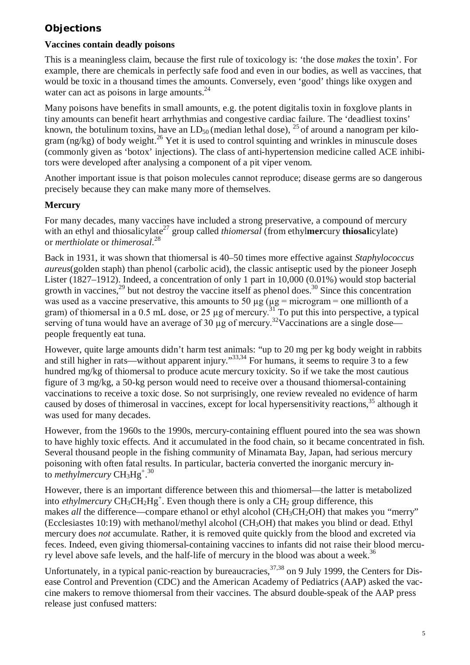# **Objections**

# **Vaccines contain deadly poisons**

This is a meaningless claim, because the first rule of toxicology is: 'the dose *makes* the toxin'. For example, there are chemicals in perfectly safe food and even in our bodies, as well as vaccines, that would be toxic in a thousand times the amounts. Conversely, even 'good' things like oxygen and water can act as poisons in large amounts. $24$ 

Many poisons have benefits in small amounts, e.g. the potent digitalis toxin in foxglove plants in tiny amounts can benefit heart arrhythmias and congestive cardiac failure. The 'deadliest toxins' known, the botulinum toxins, have an  $LD_{50}$  (median lethal dose),  $^{25}$  of around a nanogram per kilogram (ng/kg) of body weight.<sup>26</sup> Yet it is used to control squinting and wrinkles in minuscule doses (commonly given as 'botox' injections). The class of anti-hypertension medicine called ACE inhibitors were developed after analysing a component of a pit viper venom.

Another important issue is that poison molecules cannot reproduce; disease germs are so dangerous precisely because they can make many more of themselves.

# **Mercury**

For many decades, many vaccines have included a strong preservative, a compound of mercury with an ethyl and thiosalicylate<sup>27</sup> group called *thiomersal* (from ethylmercury **thiosali**cylate) or *merthiolate* or *thimerosal*. 28

Back in 1931, it was shown that thiomersal is 40–50 times more effective against *Staphylococcus aureus*(golden staph) than phenol (carbolic acid), the classic antiseptic used by the pioneer Joseph Lister (1827–1912). Indeed, a concentration of only 1 part in 10,000 (0.01%) would stop bacterial growth in vaccines.<sup>29</sup> but not destroy the vaccine itself as phenol does.<sup>30</sup> Since this concentration was used as a vaccine preservative, this amounts to 50  $\mu$ g ( $\mu$ g = microgram = one millionth of a gram) of thiomersal in a 0.5 mL dose, or 25  $\mu$ g of mercury.<sup>31</sup> To put this into perspective, a typical serving of tuna would have an average of 30  $\mu$ g of mercury.<sup>32</sup>Vaccinations are a single dose people frequently eat tuna.

However, quite large amounts didn't harm test animals: "up to 20 mg per kg body weight in rabbits and still higher in rats—without apparent injury."<sup>33,34</sup> For humans, it seems to require 3 to a few hundred mg/kg of thiomersal to produce acute mercury toxicity. So if we take the most cautious figure of 3 mg/kg, a 50-kg person would need to receive over a thousand thiomersal-containing vaccinations to receive a toxic dose. So not surprisingly, one review revealed no evidence of harm caused by doses of thimerosal in vaccines, except for local hypersensitivity reactions,<sup>35</sup> although it was used for many decades.

However, from the 1960s to the 1990s, mercury-containing effluent poured into the sea was shown to have highly toxic effects. And it accumulated in the food chain, so it became concentrated in fish. Several thousand people in the fishing community of Minamata Bay, Japan, had serious mercury poisoning with often fatal results. In particular, bacteria converted the inorganic mercury into methylmercury  $\text{CH}_3\text{Hg}^{+\,.\,30}$ 

However, there is an important difference between this and thiomersal—the latter is metabolized into *ethylmercury*  $CH_3CH_2Hg^+$ . Even though there is only a  $CH_2$  group difference, this makes *all* the difference—compare ethanol or ethyl alcohol (CH<sub>3</sub>CH<sub>2</sub>OH) that makes you "merry" (Ecclesiastes 10:19) with methanol/methyl alcohol ( $CH<sub>3</sub>OH$ ) that makes you blind or dead. Ethyl mercury does *not* accumulate. Rather, it is removed quite quickly from the blood and excreted via feces. Indeed, even giving thiomersal-containing vaccines to infants did not raise their blood mercury level above safe levels, and the half-life of mercury in the blood was about a week.<sup>36</sup>

Unfortunately, in a typical panic-reaction by bureaucracies,  $37,38$  on 9 July 1999, the Centers for Disease Control and Prevention (CDC) and the American Academy of Pediatrics (AAP) asked the vaccine makers to remove thiomersal from their vaccines. The absurd double-speak of the AAP press release just confused matters: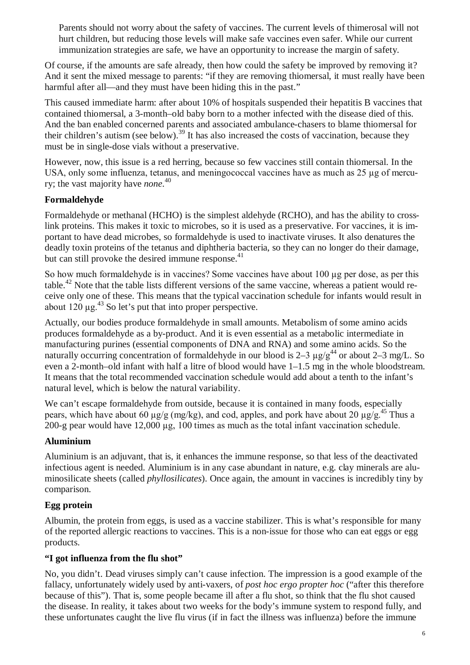Parents should not worry about the safety of vaccines. The current levels of thimerosal will not hurt children, but reducing those levels will make safe vaccines even safer. While our current immunization strategies are safe, we have an opportunity to increase the margin of safety.

Of course, if the amounts are safe already, then how could the safety be improved by removing it? And it sent the mixed message to parents: "if they are removing thiomersal, it must really have been harmful after all—and they must have been hiding this in the past."

This caused immediate harm: after about 10% of hospitals suspended their hepatitis B vaccines that contained thiomersal, a 3-month–old baby born to a mother infected with the disease died of this. And the ban enabled concerned parents and associated ambulance-chasers to blame thiomersal for their children's autism (see below).<sup>39</sup> It has also increased the costs of vaccination, because they must be in single-dose vials without a preservative.

However, now, this issue is a red herring, because so few vaccines still contain thiomersal. In the USA, only some influenza, tetanus, and meningococcal vaccines have as much as 25 µg of mercury; the vast majority have *none*. 40

# **Formaldehyde**

Formaldehyde or methanal (HCHO) is the simplest aldehyde (RCHO), and has the ability to crosslink proteins. This makes it toxic to microbes, so it is used as a preservative. For vaccines, it is important to have dead microbes, so formaldehyde is used to inactivate viruses. It also denatures the deadly toxin proteins of the tetanus and diphtheria bacteria, so they can no longer do their damage, but can still provoke the desired immune response. $41$ 

So how much formaldehyde is in vaccines? Some vaccines have about 100 µg per dose, as per this table.<sup>42</sup> Note that the table lists different versions of the same vaccine, whereas a patient would receive only one of these. This means that the typical vaccination schedule for infants would result in about  $120 \mu g$ .<sup>43</sup> So let's put that into proper perspective.

Actually, our bodies produce formaldehyde in small amounts. Metabolism of some amino acids produces formaldehyde as a by-product. And it is even essential as a metabolic intermediate in manufacturing purines (essential components of DNA and RNA) and some amino acids. So the naturally occurring concentration of formaldehyde in our blood is 2–3  $\mu$ g/g<sup>44</sup> or about 2–3 mg/L. So even a 2-month–old infant with half a litre of blood would have 1–1.5 mg in the whole bloodstream. It means that the total recommended vaccination schedule would add about a tenth to the infant's natural level, which is below the natural variability.

We can't escape formaldehyde from outside, because it is contained in many foods, especially pears, which have about 60  $\mu$ g/g (mg/kg), and cod, apples, and pork have about 20  $\mu$ g/g.<sup>45</sup> Thus a 200-g pear would have 12,000 µg, 100 times as much as the total infant vaccination schedule.

# **Aluminium**

Aluminium is an adjuvant, that is, it enhances the immune response, so that less of the deactivated infectious agent is needed. Aluminium is in any case abundant in nature, e.g. clay minerals are aluminosilicate sheets (called *phyllosilicates*). Once again, the amount in vaccines is incredibly tiny by comparison.

# **Egg protein**

Albumin, the protein from eggs, is used as a vaccine stabilizer. This is what's responsible for many of the reported allergic reactions to vaccines. This is a non-issue for those who can eat eggs or egg products.

# **"I got influenza from the flu shot"**

No, you didn't. Dead viruses simply can't cause infection. The impression is a good example of the fallacy, unfortunately widely used by anti-vaxers, of *post hoc ergo propter hoc* ("after this therefore because of this"). That is, some people became ill after a flu shot, so think that the flu shot caused the disease. In reality, it takes about two weeks for the body's immune system to respond fully, and these unfortunates caught the live flu virus (if in fact the illness was influenza) before the immune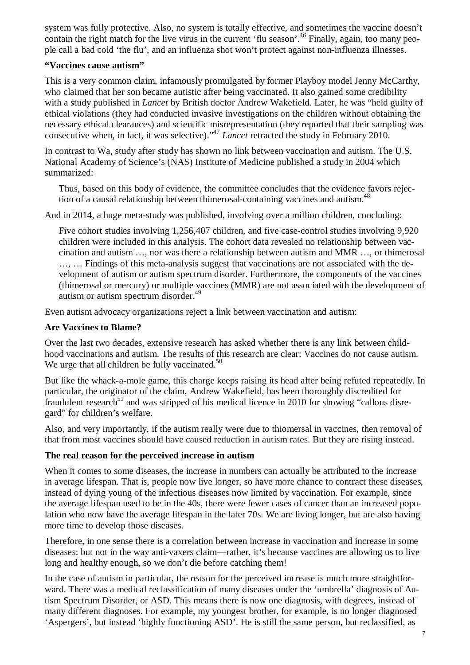system was fully protective. Also, no system is totally effective, and sometimes the vaccine doesn't contain the right match for the live virus in the current 'flu season'.<sup>46</sup> Finally, again, too many people call a bad cold 'the flu', and an influenza shot won't protect against non-influenza illnesses.

#### **"Vaccines cause autism"**

This is a very common claim, infamously promulgated by former Playboy model Jenny McCarthy, who claimed that her son became autistic after being vaccinated. It also gained some credibility with a study published in *Lancet* by British doctor Andrew Wakefield. Later, he was "held guilty of ethical violations (they had conducted invasive investigations on the children without obtaining the necessary ethical clearances) and scientific misrepresentation (they reported that their sampling was consecutive when, in fact, it was selective)."<sup>47</sup> *Lancet* retracted the study in February 2010.

In contrast to Wa, study after study has shown no link between vaccination and autism. The U.S. National Academy of Science's (NAS) Institute of Medicine published a study in 2004 which summarized:

Thus, based on this body of evidence, the committee concludes that the evidence favors rejection of a causal relationship between thimerosal-containing vaccines and autism.<sup>48</sup>

And in 2014, a huge meta-study was published, involving over a million children, concluding:

Five cohort studies involving 1,256,407 children, and five case-control studies involving 9,920 children were included in this analysis. The cohort data revealed no relationship between vaccination and autism …, nor was there a relationship between autism and MMR …, or thimerosal …, … Findings of this meta-analysis suggest that vaccinations are not associated with the development of autism or autism spectrum disorder. Furthermore, the components of the vaccines (thimerosal or mercury) or multiple vaccines (MMR) are not associated with the development of autism or autism spectrum disorder.<sup>49</sup>

Even autism advocacy organizations reject a link between vaccination and autism:

#### **Are Vaccines to Blame?**

Over the last two decades, extensive research has asked whether there is any link between childhood vaccinations and autism. The results of this research are clear: Vaccines do not cause autism. We urge that all children be fully vaccinated.<sup>50</sup>

But like the whack-a-mole game, this charge keeps raising its head after being refuted repeatedly. In particular, the originator of the claim, Andrew Wakefield, has been thoroughly discredited for fraudulent research<sup>51</sup> and was stripped of his medical licence in 2010 for showing "callous disregard" for children's welfare.

Also, and very importantly, if the autism really were due to thiomersal in vaccines, then removal of that from most vaccines should have caused reduction in autism rates. But they are rising instead.

#### **The real reason for the perceived increase in autism**

When it comes to some diseases, the increase in numbers can actually be attributed to the increase in average lifespan. That is, people now live longer, so have more chance to contract these diseases, instead of dying young of the infectious diseases now limited by vaccination. For example, since the average lifespan used to be in the 40s, there were fewer cases of cancer than an increased population who now have the average lifespan in the later 70s. We are living longer, but are also having more time to develop those diseases.

Therefore, in one sense there is a correlation between increase in vaccination and increase in some diseases: but not in the way anti-vaxers claim—rather, it's because vaccines are allowing us to live long and healthy enough, so we don't die before catching them!

In the case of autism in particular, the reason for the perceived increase is much more straightforward. There was a medical reclassification of many diseases under the 'umbrella' diagnosis of Autism Spectrum Disorder, or ASD. This means there is now one diagnosis, with degrees, instead of many different diagnoses. For example, my youngest brother, for example, is no longer diagnosed 'Aspergers', but instead 'highly functioning ASD'. He is still the same person, but reclassified, as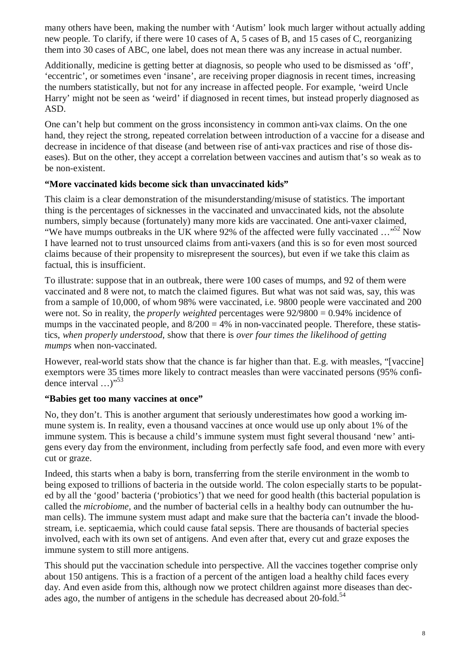many others have been, making the number with 'Autism' look much larger without actually adding new people. To clarify, if there were 10 cases of A, 5 cases of B, and 15 cases of C, reorganizing them into 30 cases of ABC, one label, does not mean there was any increase in actual number.

Additionally, medicine is getting better at diagnosis, so people who used to be dismissed as 'off', 'eccentric', or sometimes even 'insane', are receiving proper diagnosis in recent times, increasing the numbers statistically, but not for any increase in affected people. For example, 'weird Uncle Harry' might not be seen as 'weird' if diagnosed in recent times, but instead properly diagnosed as ASD.

One can't help but comment on the gross inconsistency in common anti-vax claims. On the one hand, they reject the strong, repeated correlation between introduction of a vaccine for a disease and decrease in incidence of that disease (and between rise of anti-vax practices and rise of those diseases). But on the other, they accept a correlation between vaccines and autism that's so weak as to be non-existent.

#### **"More vaccinated kids become sick than unvaccinated kids"**

This claim is a clear demonstration of the misunderstanding/misuse of statistics. The important thing is the percentages of sicknesses in the vaccinated and unvaccinated kids, not the absolute numbers, simply because (fortunately) many more kids are vaccinated. One anti-vaxer claimed, "We have mumps outbreaks in the UK where 92% of the affected were fully vaccinated  $\ldots$ <sup>52</sup> Now I have learned not to trust unsourced claims from anti-vaxers (and this is so for even most sourced claims because of their propensity to misrepresent the sources), but even if we take this claim as factual, this is insufficient.

To illustrate: suppose that in an outbreak, there were 100 cases of mumps, and 92 of them were vaccinated and 8 were not, to match the claimed figures. But what was not said was, say, this was from a sample of 10,000, of whom 98% were vaccinated, i.e. 9800 people were vaccinated and 200 were not. So in reality, the *properly weighted* percentages were 92/9800 = 0.94% incidence of mumps in the vaccinated people, and  $8/200 = 4\%$  in non-vaccinated people. Therefore, these statistics, *when properly understood*, show that there is *over four times the likelihood of getting mumps* when non-vaccinated.

However, real-world stats show that the chance is far higher than that. E.g. with measles, "[vaccine] exemptors were 35 times more likely to contract measles than were vaccinated persons (95% confidence interval ...)"<sup>53</sup>

# **"Babies get too many vaccines at once"**

No, they don't. This is another argument that seriously underestimates how good a working immune system is. In reality, even a thousand vaccines at once would use up only about 1% of the immune system. This is because a child's immune system must fight several thousand 'new' antigens every day from the environment, including from perfectly safe food, and even more with every cut or graze.

Indeed, this starts when a baby is born, transferring from the sterile environment in the womb to being exposed to trillions of bacteria in the outside world. The colon especially starts to be populated by all the 'good' bacteria ('probiotics') that we need for good health (this bacterial population is called the *microbiome,* and the number of bacterial cells in a healthy body can outnumber the human cells). The immune system must adapt and make sure that the bacteria can't invade the bloodstream, i.e. septicaemia, which could cause fatal sepsis. There are thousands of bacterial species involved, each with its own set of antigens. And even after that, every cut and graze exposes the immune system to still more antigens.

This should put the vaccination schedule into perspective. All the vaccines together comprise only about 150 antigens. This is a fraction of a percent of the antigen load a healthy child faces every day. And even aside from this, although now we protect children against more diseases than decades ago, the number of antigens in the schedule has decreased about 20-fold.<sup>54</sup>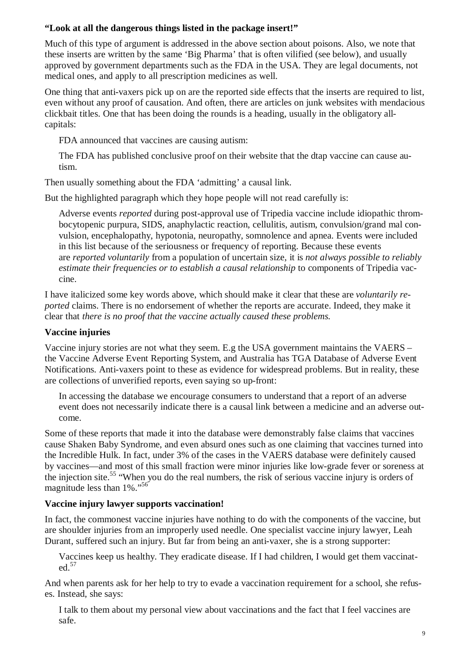#### **"Look at all the dangerous things listed in the package insert!"**

Much of this type of argument is addressed in the above section about poisons. Also, we note that these inserts are written by the same 'Big Pharma' that is often vilified (see below), and usually approved by government departments such as the FDA in the USA. They are legal documents, not medical ones, and apply to all prescription medicines as well.

One thing that anti-vaxers pick up on are the reported side effects that the inserts are required to list, even without any proof of causation. And often, there are articles on junk websites with mendacious clickbait titles. One that has been doing the rounds is a heading, usually in the obligatory allcapitals:

FDA announced that vaccines are causing autism:

The FDA has published conclusive proof on their website that the dtap vaccine can cause autism.

Then usually something about the FDA 'admitting' a causal link.

But the highlighted paragraph which they hope people will not read carefully is:

Adverse events *reported* during post-approval use of Tripedia vaccine include idiopathic thrombocytopenic purpura, SIDS, anaphylactic reaction, cellulitis, autism, convulsion/grand mal convulsion, encephalopathy, hypotonia, neuropathy, somnolence and apnea. Events were included in this list because of the seriousness or frequency of reporting. Because these events are *reported voluntarily* from a population of uncertain size, it is *not always possible to reliably estimate their frequencies or to establish a causal relationship* to components of Tripedia vaccine.

I have italicized some key words above, which should make it clear that these are *voluntarily reported* claims. There is no endorsement of whether the reports are accurate. Indeed, they make it clear that *there is no proof that the vaccine actually caused these problems.*

# **Vaccine injuries**

Vaccine injury stories are not what they seem. E.g the USA government maintains the VAERS – the Vaccine Adverse Event Reporting System, and Australia has TGA Database of Adverse Event Notifications. Anti-vaxers point to these as evidence for widespread problems. But in reality, these are collections of unverified reports, even saying so up-front:

In accessing the database we encourage consumers to understand that a report of an adverse event does not necessarily indicate there is a causal link between a medicine and an adverse outcome.

Some of these reports that made it into the database were demonstrably false claims that vaccines cause Shaken Baby Syndrome, and even absurd ones such as one claiming that vaccines turned into the Incredible Hulk. In fact, under 3% of the cases in the VAERS database were definitely caused by vaccines—and most of this small fraction were minor injuries like low-grade fever or soreness at the injection site.<sup>55</sup> "When you do the real numbers, the risk of serious vaccine injury is orders of magnitude less than 1%."<sup>56</sup>

# **Vaccine injury lawyer supports vaccination!**

In fact, the commonest vaccine injuries have nothing to do with the components of the vaccine, but are shoulder injuries from an improperly used needle. One specialist vaccine injury lawyer, Leah Durant, suffered such an injury. But far from being an anti-vaxer, she is a strong supporter:

Vaccines keep us healthy. They eradicate disease. If I had children, I would get them vaccinated.<sup>57</sup>

And when parents ask for her help to try to evade a vaccination requirement for a school, she refuses. Instead, she says:

I talk to them about my personal view about vaccinations and the fact that I feel vaccines are safe.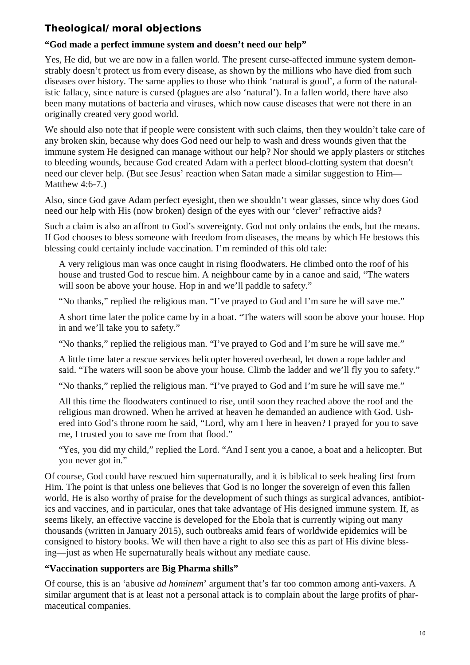# **Theological/moral objections**

# **"God made a perfect immune system and doesn't need our help"**

Yes, He did, but we are now in a fallen world. The present curse-affected immune system demonstrably doesn't protect us from every disease, as shown by the millions who have died from such diseases over history. The same applies to those who think 'natural is good', a form of the naturalistic fallacy, since nature is cursed (plagues are also 'natural'). In a fallen world, there have also been many mutations of bacteria and viruses, which now cause diseases that were not there in an originally created very good world.

We should also note that if people were consistent with such claims, then they wouldn't take care of any broken skin, because why does God need our help to wash and dress wounds given that the immune system He designed can manage without our help? Nor should we apply plasters or stitches to bleeding wounds, because God created Adam with a perfect blood-clotting system that doesn't need our clever help. (But see Jesus' reaction when Satan made a similar suggestion to Him— Matthew 4:6-7.)

Also, since God gave Adam perfect eyesight, then we shouldn't wear glasses, since why does God need our help with His (now broken) design of the eyes with our 'clever' refractive aids?

Such a claim is also an affront to God's sovereignty. God not only ordains the ends, but the means. If God chooses to bless someone with freedom from diseases, the means by which He bestows this blessing could certainly include vaccination. I'm reminded of this old tale:

A very religious man was once caught in rising floodwaters. He climbed onto the roof of his house and trusted God to rescue him. A neighbour came by in a canoe and said, "The waters will soon be above your house. Hop in and we'll paddle to safety."

"No thanks," replied the religious man. "I've prayed to God and I'm sure he will save me."

A short time later the police came by in a boat. "The waters will soon be above your house. Hop in and we'll take you to safety."

"No thanks," replied the religious man. "I've prayed to God and I'm sure he will save me."

A little time later a rescue services helicopter hovered overhead, let down a rope ladder and said. "The waters will soon be above your house. Climb the ladder and we'll fly you to safety."

"No thanks," replied the religious man. "I've prayed to God and I'm sure he will save me."

All this time the floodwaters continued to rise, until soon they reached above the roof and the religious man drowned. When he arrived at heaven he demanded an audience with God. Ushered into God's throne room he said, "Lord, why am I here in heaven? I prayed for you to save me, I trusted you to save me from that flood."

"Yes, you did my child," replied the Lord. "And I sent you a canoe, a boat and a helicopter. But you never got in."

Of course, God could have rescued him supernaturally, and it is biblical to seek healing first from Him. The point is that unless one believes that God is no longer the sovereign of even this fallen world, He is also worthy of praise for the development of such things as surgical advances, antibiotics and vaccines, and in particular, ones that take advantage of His designed immune system. If, as seems likely, an effective vaccine is developed for the Ebola that is currently wiping out many thousands (written in January 2015), such outbreaks amid fears of worldwide epidemics will be consigned to history books. We will then have a right to also see this as part of His divine blessing—just as when He supernaturally heals without any mediate cause.

# **"Vaccination supporters are Big Pharma shills"**

Of course, this is an 'abusive *ad hominem*' argument that's far too common among anti-vaxers. A similar argument that is at least not a personal attack is to complain about the large profits of pharmaceutical companies.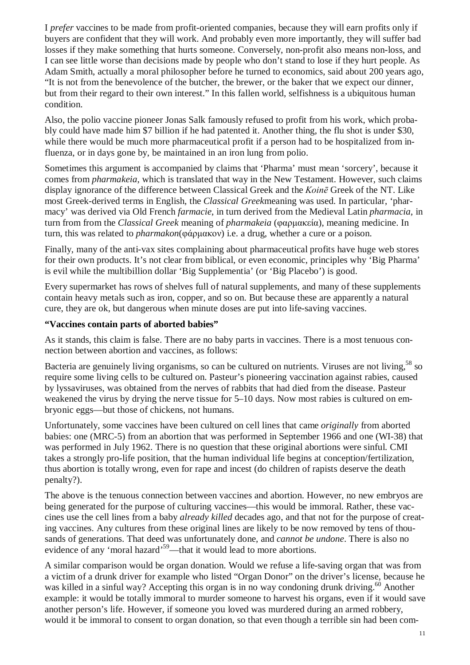I *prefer* vaccines to be made from profit-oriented companies, because they will earn profits only if buyers are confident that they will work. And probably even more importantly, they will suffer bad losses if they make something that hurts someone. Conversely, non-profit also means non-loss, and I can see little worse than decisions made by people who don't stand to lose if they hurt people. As Adam Smith, actually a moral philosopher before he turned to economics, said about 200 years ago, "It is not from the benevolence of the butcher, the brewer, or the baker that we expect our dinner, but from their regard to their own interest." In this fallen world, selfishness is a ubiquitous human condition.

Also, the polio vaccine pioneer Jonas Salk famously refused to profit from his work, which probably could have made him \$7 billion if he had patented it. Another thing, the flu shot is under \$30, while there would be much more pharmaceutical profit if a person had to be hospitalized from influenza, or in days gone by, be maintained in an iron lung from polio.

Sometimes this argument is accompanied by claims that 'Pharma' must mean 'sorcery', because it comes from *pharmakeia*, which is translated that way in the New Testament. However, such claims display ignorance of the difference between Classical Greek and the *Koinē* Greek of the NT. Like most Greek-derived terms in English, the *Classical Greek*meaning was used. In particular, 'pharmacy' was derived via Old French *farmacie*, in turn derived from the Medieval Latin *pharmacia*, in turn from from the *Classical Greek* meaning of *pharmakeia* (φαρμακεία), meaning medicine. In turn, this was related to *pharmakon*(φάρμακον) i.e. a drug, whether a cure or a poison.

Finally, many of the anti-vax sites complaining about pharmaceutical profits have huge web stores for their own products. It's not clear from biblical, or even economic, principles why 'Big Pharma' is evil while the multibillion dollar 'Big Supplementia' (or 'Big Placebo') is good.

Every supermarket has rows of shelves full of natural supplements, and many of these supplements contain heavy metals such as iron, copper, and so on. But because these are apparently a natural cure, they are ok, but dangerous when minute doses are put into life-saving vaccines.

#### **"Vaccines contain parts of aborted babies"**

As it stands, this claim is false. There are no baby parts in vaccines. There is a most tenuous connection between abortion and vaccines, as follows:

Bacteria are genuinely living organisms, so can be cultured on nutrients. Viruses are not living,<sup>58</sup> so require some living cells to be cultured on. Pasteur's pioneering vaccination against rabies, caused by lyssaviruses, was obtained from the nerves of rabbits that had died from the disease. Pasteur weakened the virus by drying the nerve tissue for 5–10 days. Now most rabies is cultured on embryonic eggs—but those of chickens, not humans.

Unfortunately, some vaccines have been cultured on cell lines that came *originally* from aborted babies: one (MRC-5) from an abortion that was performed in September 1966 and one (WI-38) that was performed in July 1962. There is no question that these original abortions were sinful. CMI takes a strongly pro-life position, that the human individual life begins at conception/fertilization, thus abortion is totally wrong, even for rape and incest (do children of rapists deserve the death penalty?).

The above is the tenuous connection between vaccines and abortion. However, no new embryos are being generated for the purpose of culturing vaccines—this would be immoral. Rather, these vaccines use the cell lines from a baby *already killed* decades ago, and that not for the purpose of creating vaccines. Any cultures from these original lines are likely to be now removed by tens of thousands of generations. That deed was unfortunately done, and *cannot be undone*. There is also no evidence of any 'moral hazard'<sup>59</sup>—that it would lead to more abortions.

A similar comparison would be organ donation. Would we refuse a life-saving organ that was from a victim of a drunk driver for example who listed "Organ Donor" on the driver's license, because he was killed in a sinful way? Accepting this organ is in no way condoning drunk driving.<sup>60</sup> Another example: it would be totally immoral to murder someone to harvest his organs, even if it would save another person's life. However, if someone you loved was murdered during an armed robbery, would it be immoral to consent to organ donation, so that even though a terrible sin had been com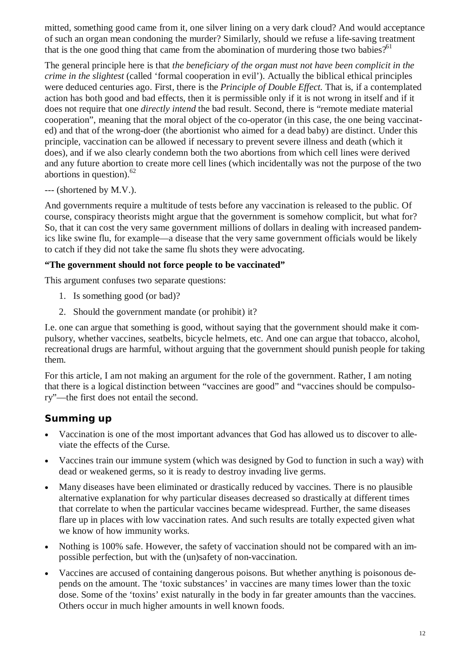mitted, something good came from it, one silver lining on a very dark cloud? And would acceptance of such an organ mean condoning the murder? Similarly, should we refuse a life-saving treatment that is the one good thing that came from the abomination of murdering those two babies?<sup>61</sup>

The general principle here is that *the beneficiary of the organ must not have been complicit in the crime in the slightest* (called 'formal cooperation in evil'). Actually the biblical ethical principles were deduced centuries ago. First, there is the *Principle of Double Effect.* That is, if a contemplated action has both good and bad effects, then it is permissible only if it is not wrong in itself and if it does not require that one *directly intend* the bad result. Second, there is "remote mediate material cooperation", meaning that the moral object of the co-operator (in this case, the one being vaccinated) and that of the wrong-doer (the abortionist who aimed for a dead baby) are distinct. Under this principle, vaccination can be allowed if necessary to prevent severe illness and death (which it does), and if we also clearly condemn both the two abortions from which cell lines were derived and any future abortion to create more cell lines (which incidentally was not the purpose of the two abortions in question). $62$ 

#### --- (shortened by M.V.).

And governments require a multitude of tests before any vaccination is released to the public. Of course, conspiracy theorists might argue that the government is somehow complicit, but what for? So, that it can cost the very same government millions of dollars in dealing with increased pandemics like swine flu, for example—a disease that the very same government officials would be likely to catch if they did not take the same flu shots they were advocating.

#### **"The government should not force people to be vaccinated"**

This argument confuses two separate questions:

- 1. Is something good (or bad)?
- 2. Should the government mandate (or prohibit) it?

I.e. one can argue that something is good, without saying that the government should make it compulsory, whether vaccines, seatbelts, bicycle helmets, etc. And one can argue that tobacco, alcohol, recreational drugs are harmful, without arguing that the government should punish people for taking them.

For this article, I am not making an argument for the role of the government. Rather, I am noting that there is a logical distinction between "vaccines are good" and "vaccines should be compulsory"—the first does not entail the second.

# **Summing up**

- Vaccination is one of the most important advances that God has allowed us to discover to alleviate the effects of the Curse.
- Vaccines train our immune system (which was designed by God to function in such a way) with dead or weakened germs, so it is ready to destroy invading live germs.
- Many diseases have been eliminated or drastically reduced by vaccines. There is no plausible alternative explanation for why particular diseases decreased so drastically at different times that correlate to when the particular vaccines became widespread. Further, the same diseases flare up in places with low vaccination rates. And such results are totally expected given what we know of how immunity works.
- Nothing is 100% safe. However, the safety of vaccination should not be compared with an impossible perfection, but with the (un)safety of non-vaccination.
- Vaccines are accused of containing dangerous poisons. But whether anything is poisonous depends on the amount. The 'toxic substances' in vaccines are many times lower than the toxic dose. Some of the 'toxins' exist naturally in the body in far greater amounts than the vaccines. Others occur in much higher amounts in well known foods.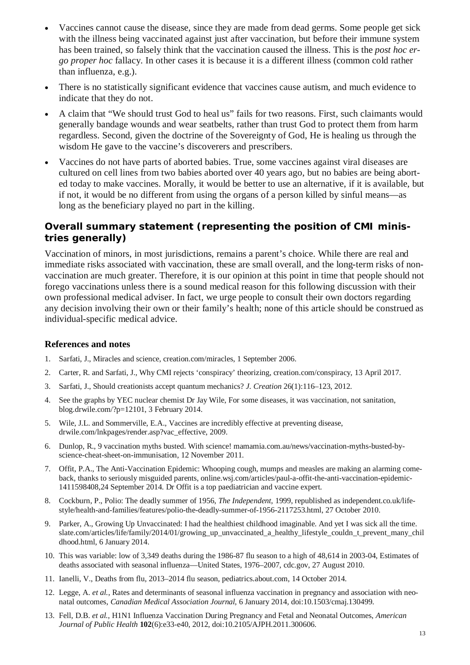- Vaccines cannot cause the disease, since they are made from dead germs. Some people get sick with the illness being vaccinated against just after vaccination, but before their immune system has been trained, so falsely think that the vaccination caused the illness. This is the *post hoc ergo proper hoc* fallacy. In other cases it is because it is a different illness (common cold rather than influenza, e.g.).
- There is no statistically significant evidence that vaccines cause autism, and much evidence to indicate that they do not.
- A claim that "We should trust God to heal us" fails for two reasons. First, such claimants would generally bandage wounds and wear seatbelts, rather than trust God to protect them from harm regardless. Second, given the doctrine of the Sovereignty of God, He is healing us through the wisdom He gave to the vaccine's discoverers and prescribers.
- Vaccines do not have parts of aborted babies. True, some vaccines against viral diseases are cultured on cell lines from two babies aborted over 40 years ago, but no babies are being aborted today to make vaccines. Morally, it would be better to use an alternative, if it is available, but if not, it would be no different from using the organs of a person killed by sinful means—as long as the beneficiary played no part in the killing.

### **Overall summary statement (representing the position of CMI ministries generally)**

Vaccination of minors, in most jurisdictions, remains a parent's choice. While there are real and immediate risks associated with vaccination, these are small overall, and the long-term risks of nonvaccination are much greater. Therefore, it is our opinion at this point in time that people should not forego vaccinations unless there is a sound medical reason for this following discussion with their own professional medical adviser. In fact, we urge people to consult their own doctors regarding any decision involving their own or their family's health; none of this article should be construed as individual-specific medical advice.

#### **References and notes**

- 1. Sarfati, J., Miracles and science, creation.com/miracles, 1 September 2006.
- 2. Carter, R. and Sarfati, J., Why CMI rejects 'conspiracy' theorizing, creation.com/conspiracy, 13 April 2017.
- 3. Sarfati, J., Should creationists accept quantum mechanics? *J. Creation* 26(1):116–123, 2012.
- 4. See the graphs by YEC nuclear chemist Dr Jay Wile, For some diseases, it was vaccination, not sanitation, blog.drwile.com/?p=12101, 3 February 2014.
- 5. Wile, J.L. and Sommerville, E.A., Vaccines are incredibly effective at preventing disease, drwile.com/lnkpages/render.asp?vac\_effective, 2009.
- 6. Dunlop, R., 9 vaccination myths busted. With science! mamamia.com.au/news/vaccination-myths-busted-byscience-cheat-sheet-on-immunisation, 12 November 2011.
- 7. Offit, P.A., The Anti-Vaccination Epidemic: Whooping cough, mumps and measles are making an alarming comeback, thanks to seriously misguided parents, online.wsj.com/articles/paul-a-offit-the-anti-vaccination-epidemic-1411598408,24 September 2014. Dr Offit is a top paediatrician and vaccine expert.
- 8. Cockburn, P., Polio: The deadly summer of 1956, *The Independent*, 1999, republished as independent.co.uk/lifestyle/health-and-families/features/polio-the-deadly-summer-of-1956-2117253.html, 27 October 2010.
- 9. Parker, A., Growing Up Unvaccinated: I had the healthiest childhood imaginable. And yet I was sick all the time. slate.com/articles/life/family/2014/01/growing\_up\_unvaccinated\_a\_healthy\_lifestyle\_couldn\_t\_prevent\_many\_chil dhood.html, 6 January 2014.
- 10. This was variable: low of 3,349 deaths during the 1986-87 flu season to a high of 48,614 in 2003-04, Estimates of deaths associated with seasonal influenza—United States, 1976–2007, cdc.gov, 27 August 2010.
- 11. Ianelli, V., Deaths from flu, 2013–2014 flu season, pediatrics.about.com, 14 October 2014.
- 12. Legge, A. *et al.*, Rates and determinants of seasonal influenza vaccination in pregnancy and association with neonatal outcomes, *Canadian Medical Association Journal*, 6 January 2014, doi:10.1503/cmaj.130499.
- 13. Fell, D.B. *et al.*, H1N1 Influenza Vaccination During Pregnancy and Fetal and Neonatal Outcomes, *American Journal of Public Health* **102**(6):e33-e40, 2012, doi:10.2105/AJPH.2011.300606.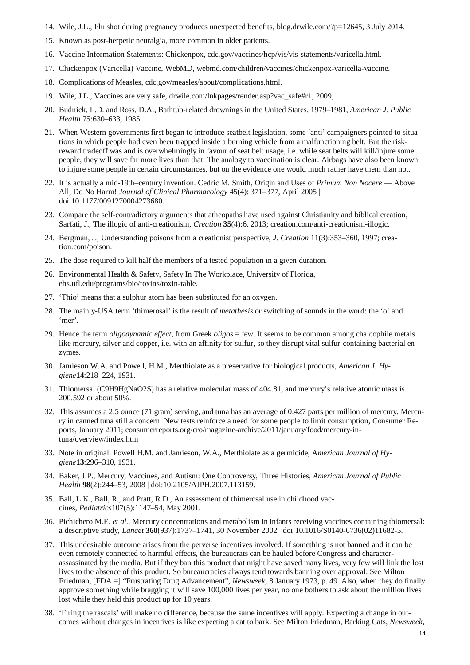- 14. Wile, J.L., Flu shot during pregnancy produces unexpected benefits, blog.drwile.com/?p=12645, 3 July 2014.
- 15. Known as post-herpetic neuralgia, more common in older patients.
- 16. Vaccine Information Statements: Chickenpox, cdc.gov/vaccines/hcp/vis/vis-statements/varicella.html.
- 17. Chickenpox (Varicella) Vaccine, WebMD, webmd.com/children/vaccines/chickenpox-varicella-vaccine.
- 18. Complications of Measles, cdc.gov/measles/about/complications.html.
- 19. Wile, J.L., Vaccines are very safe, drwile.com/lnkpages/render.asp?vac\_safe#r1, 2009,
- 20. Budnick, L.D. and Ross, D.A., Bathtub-related drownings in the United States, 1979–1981, *American J. Public Health* 75:630–633, 1985.
- 21. When Western governments first began to introduce seatbelt legislation, some 'anti' campaigners pointed to situations in which people had even been trapped inside a burning vehicle from a malfunctioning belt. But the riskreward tradeoff was and is overwhelmingly in favour of seat belt usage, i.e. while seat belts will kill/injure some people, they will save far more lives than that. The analogy to vaccination is clear. Airbags have also been known to injure some people in certain circumstances, but on the evidence one would much rather have them than not.
- 22. It is actually a mid-19th–century invention. Cedric M. Smith, Origin and Uses of *Primum Non Nocere* Above All, Do No Harm! *Journal of Clinical Pharmacology* 45(4): 371–377, April 2005 | doi:10.1177/0091270004273680.
- 23. Compare the self-contradictory arguments that atheopaths have used against Christianity and biblical creation, Sarfati, J., The illogic of anti-creationism, *Creation* **35**(4):6, 2013; creation.com/anti-creationism-illogic.
- 24. Bergman, J., Understanding poisons from a creationist perspective, *J. Creation* 11(3):353–360, 1997; creation.com/poison.
- 25. The dose required to kill half the members of a tested population in a given duration.
- 26. Environmental Health & Safety, Safety In The Workplace, University of Florida, ehs.ufl.edu/programs/bio/toxins/toxin-table.
- 27. 'Thio' means that a sulphur atom has been substituted for an oxygen.
- 28. The mainly-USA term 'thimerosal' is the result of *metathesis* or switching of sounds in the word: the 'o' and 'mer'.
- 29. Hence the term *oligodynamic effect*, from Greek *oligos* = few. It seems to be common among chalcophile metals like mercury, silver and copper, i.e. with an affinity for sulfur, so they disrupt vital sulfur-containing bacterial enzymes.
- 30. Jamieson W.A. and Powell, H.M., Merthiolate as a preservative for biological products, *American J. Hygiene***14**:218–224, 1931.
- 31. Thiomersal (C9H9HgNaO2S) has a relative molecular mass of 404.81, and mercury's relative atomic mass is 200.592 or about 50%.
- 32. This assumes a 2.5 ounce (71 gram) serving, and tuna has an average of 0.427 parts per million of mercury. Mercury in canned tuna still a concern: New tests reinforce a need for some people to limit consumption, Consumer Reports, January 2011; consumerreports.org/cro/magazine-archive/2011/january/food/mercury-intuna/overview/index.htm
- 33. Note in original: Powell H.M. and Jamieson, W.A., Merthiolate as a germicide, A*merican Journal of Hygiene***13**:296–310, 1931.
- 34. Baker, J.P., Mercury, Vaccines, and Autism: One Controversy, Three Histories, *American Journal of Public Health* **98**(2):244–53, 2008 | doi:10.2105/AJPH.2007.113159.
- 35. Ball, L.K., Ball, R., and Pratt, R.D., An assessment of thimerosal use in childhood vaccines, *Pediatrics*107(5):1147–54, May 2001.
- 36. Pichichero M.E. *et al.*, Mercury concentrations and metabolism in infants receiving vaccines containing thiomersal: a descriptive study, *Lancet* **360**(937):1737–1741, 30 November 2002 | doi:10.1016/S0140-6736(02)11682-5.
- 37. This undesirable outcome arises from the perverse incentives involved. If something is not banned and it can be even remotely connected to harmful effects, the bureaucrats can be hauled before Congress and characterassassinated by the media. But if they ban this product that might have saved many lives, very few will link the lost lives to the absence of this product. So bureaucracies always tend towards banning over approval. See Milton Friedman, [FDA =] "Frustrating Drug Advancement", *Newsweek,* 8 January 1973, p. 49. Also, when they do finally approve something while bragging it will save 100,000 lives per year, no one bothers to ask about the million lives lost while they held this product up for 10 years.
- 38. 'Firing the rascals' will make no difference, because the same incentives will apply. Expecting a change in outcomes without changes in incentives is like expecting a cat to bark. See Milton Friedman, Barking Cats, *Newsweek*,